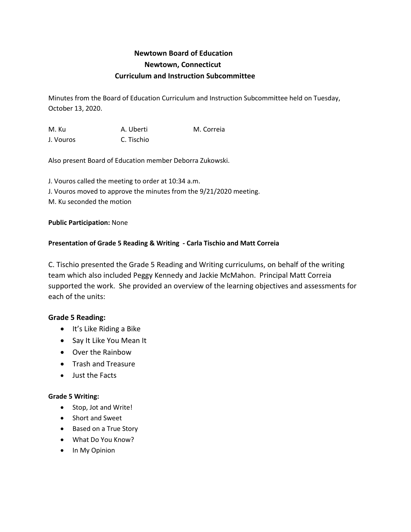# **Newtown Board of Education Newtown, Connecticut Curriculum and Instruction Subcommittee**

Minutes from the Board of Education Curriculum and Instruction Subcommittee held on Tuesday, October 13, 2020.

M. Ku A. Uberti M. Correia J. Vouros C. Tischio

Also present Board of Education member Deborra Zukowski.

J. Vouros called the meeting to order at 10:34 a.m. J. Vouros moved to approve the minutes from the 9/21/2020 meeting. M. Ku seconded the motion

## **Public Participation:** None

# **Presentation of Grade 5 Reading & Writing - Carla Tischio and Matt Correia**

C. Tischio presented the Grade 5 Reading and Writing curriculums, on behalf of the writing team which also included Peggy Kennedy and Jackie McMahon. Principal Matt Correia supported the work. She provided an overview of the learning objectives and assessments for each of the units:

# **Grade 5 Reading:**

- It's Like Riding a Bike
- Say It Like You Mean It
- Over the Rainbow
- Trash and Treasure
- Just the Facts

#### **Grade 5 Writing:**

- Stop, Jot and Write!
- Short and Sweet
- Based on a True Story
- What Do You Know?
- In My Opinion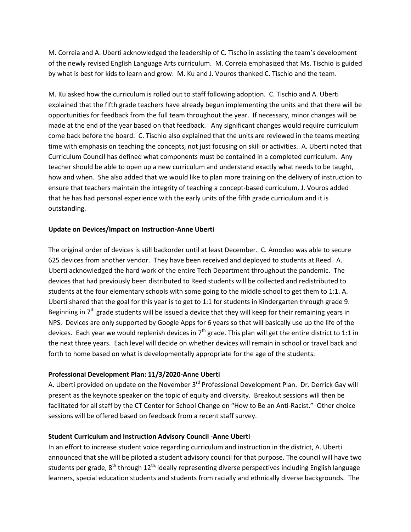M. Correia and A. Uberti acknowledged the leadership of C. Tischo in assisting the team's development of the newly revised English Language Arts curriculum. M. Correia emphasized that Ms. Tischio is guided by what is best for kids to learn and grow. M. Ku and J. Vouros thanked C. Tischio and the team.

M. Ku asked how the curriculum is rolled out to staff following adoption. C. Tischio and A. Uberti explained that the fifth grade teachers have already begun implementing the units and that there will be opportunities for feedback from the full team throughout the year. If necessary, minor changes will be made at the end of the year based on that feedback. Any significant changes would require curriculum come back before the board. C. Tischio also explained that the units are reviewed in the teams meeting time with emphasis on teaching the concepts, not just focusing on skill or activities. A. Uberti noted that Curriculum Council has defined what components must be contained in a completed curriculum. Any teacher should be able to open up a new curriculum and understand exactly what needs to be taught, how and when. She also added that we would like to plan more training on the delivery of instruction to ensure that teachers maintain the integrity of teaching a concept-based curriculum. J. Vouros added that he has had personal experience with the early units of the fifth grade curriculum and it is outstanding.

## **Update on Devices/Impact on Instruction-Anne Uberti**

The original order of devices is still backorder until at least December. C. Amodeo was able to secure 625 devices from another vendor. They have been received and deployed to students at Reed. A. Uberti acknowledged the hard work of the entire Tech Department throughout the pandemic. The devices that had previously been distributed to Reed students will be collected and redistributed to students at the four elementary schools with some going to the middle school to get them to 1:1. A. Uberti shared that the goal for this year is to get to 1:1 for students in Kindergarten through grade 9. Beginning in  $7<sup>th</sup>$  grade students will be issued a device that they will keep for their remaining years in NPS. Devices are only supported by Google Apps for 6 years so that will basically use up the life of the devices. Each year we would replenish devices in  $7<sup>th</sup>$  grade. This plan will get the entire district to 1:1 in the next three years. Each level will decide on whether devices will remain in school or travel back and forth to home based on what is developmentally appropriate for the age of the students.

#### **Professional Development Plan: 11/3/2020-Anne Uberti**

A. Uberti provided on update on the November 3<sup>rd</sup> Professional Development Plan. Dr. Derrick Gay will present as the keynote speaker on the topic of equity and diversity. Breakout sessions will then be facilitated for all staff by the CT Center for School Change on "How to Be an Anti-Racist." Other choice sessions will be offered based on feedback from a recent staff survey.

#### **Student Curriculum and Instruction Advisory Council -Anne Uberti**

In an effort to increase student voice regarding curriculum and instruction in the district, A. Uberti announced that she will be piloted a student advisory council for that purpose. The council will have two students per grade,  $8^{th}$  through  $12^{th}$  ideally representing diverse perspectives including English language learners, special education students and students from racially and ethnically diverse backgrounds. The